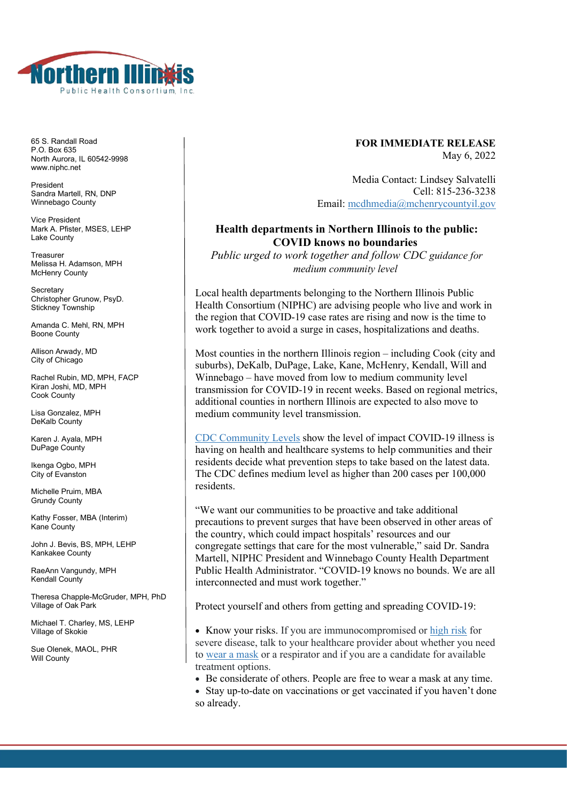

65 S. Randall Road P.O. Box 635 North Aurora, IL 60542-9998 www.niphc.net

President Sandra Martell, RN, DNP Winnebago County

Vice President Mark A. Pfister, MSFS, LEHP Lake County

Treasurer Melissa H. Adamson, MPH McHenry County

**Secretary** Christopher Grunow, PsyD. Stickney Township

Amanda C. Mehl, RN, MPH Boone County

Allison Arwady, MD City of Chicago

Rachel Rubin, MD, MPH, FACP Kiran Joshi, MD, MPH Cook County

Lisa Gonzalez, MPH DeKalb County

Karen J. Ayala, MPH DuPage County

Ikenga Ogbo, MPH City of Evanston

Michelle Pruim, MBA Grundy County

Kathy Fosser, MBA (Interim) Kane County

John J. Bevis, BS, MPH, LEHP Kankakee County

RaeAnn Vangundy, MPH Kendall County

Theresa Chapple-McGruder, MPH, PhD Village of Oak Park

Michael T. Charley, MS, LEHP Village of Skokie

Sue Olenek, MAOL, PHR Will County

## **FOR IMMEDIATE RELEASE** May 6, 2022

Media Contact: Lindsey Salvatelli Cell: 815-236-3238 Email: [mcdhmedia@mchenrycountyil.gov](mailto:mcdhmedia@mchenrycountyil.gov)

## **Health departments in Northern Illinois to the public: COVID knows no boundaries**

*Public urged to work together and follow CDC guidance for medium community level*

Local health departments belonging to the Northern Illinois Public Health Consortium (NIPHC) are advising people who live and work in the region that COVID-19 case rates are rising and now is the time to work together to avoid a surge in cases, hospitalizations and deaths.

Most counties in the northern Illinois region – including Cook (city and suburbs), DeKalb, DuPage, Lake, Kane, McHenry, Kendall, Will and Winnebago – have moved from low to medium community level transmission for COVID-19 in recent weeks. Based on regional metrics, additional counties in northern Illinois are expected to also move to medium community level transmission.

[CDC Community Levels](https://urldefense.com/v3/__https:/www.cdc.gov/coronavirus/2019-ncov/science/community-levels.html__;!!Aql9viJT!Xir2YGA2ORH5N0bkdmYmJ3wAYuKLyAHj45DkizVIf25lJMcRUV1F9iWVIzMrdd9-BaD_S-tcZoG1c6TfwFxzh8-IpQCr2U0KAGXX$) show the level of impact COVID-19 illness is having on health and healthcare systems to help communities and their residents decide what prevention steps to take based on the latest data. The CDC defines medium level as higher than 200 cases per 100,000 residents.

"We want our communities to be proactive and take additional precautions to prevent surges that have been observed in other areas of the country, which could impact hospitals' resources and our congregate settings that care for the most vulnerable," said Dr. Sandra Martell, NIPHC President and Winnebago County Health Department Public Health Administrator. "COVID-19 knows no bounds. We are all interconnected and must work together."

Protect yourself and others from getting and spreading COVID-19:

• Know your risks. If you are immunocompromised or [high risk](https://urldefense.com/v3/__https:/www.cdc.gov/coronavirus/2019-ncov/need-extra-precautions/people-with-medical-conditions.html__;!!Aql9viJT!Xir2YGA2ORH5N0bkdmYmJ3wAYuKLyAHj45DkizVIf25lJMcRUV1F9iWVIzMrdd9-BaD_S-tcZoG1c6TfwFxzh8-IpQCr2Rc-Utsd$) for severe disease, talk to your healthcare provider about whether you need to [wear a mask](https://www.cdc.gov/coronavirus/2019-ncov/prevent-getting-sick/masks.html) or a respirator and if you are a candidate for available treatment options.

• Be considerate of others. People are free to wear a mask at any time.

• Stay up-to-date on vaccinations or get vaccinated if you haven't done so already.